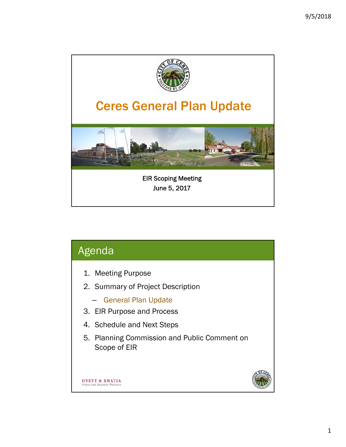

| Agenda                                                                     |  |
|----------------------------------------------------------------------------|--|
| 1. Meeting Purpose<br>2. Summary of Project Description                    |  |
| - General Plan Update<br>3. EIR Purpose and Process                        |  |
| 4. Schedule and Next Steps<br>5. Planning Commission and Public Comment on |  |
| Scope of EIR                                                               |  |
| T & BHATIA<br>Urban and Regional Planners                                  |  |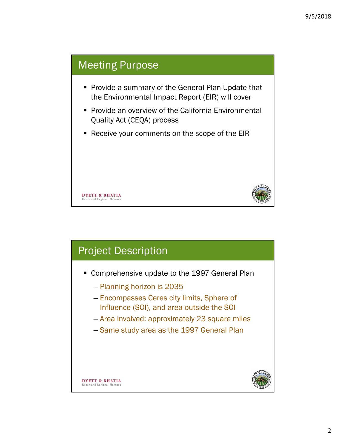

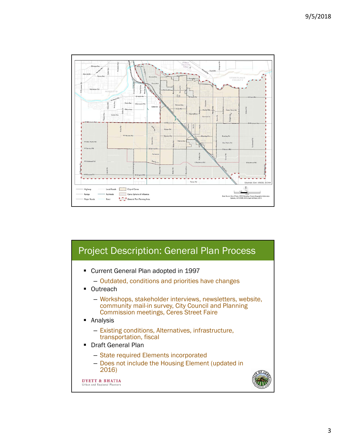

## Project Description: General Plan Process

- Current General Plan adopted in 1997
	- Outdated, conditions and priorities have changes
- Outreach
	- Workshops, stakeholder interviews, newsletters, website, community mail-in survey, City Council and Planning Commission meetings, Ceres Street Faire
- Analysis
	- Existing conditions, Alternatives, infrastructure, transportation, fiscal
- **Draft General Plan** 
	- State required Elements incorporated
	- Does not include the Housing Element (updated in 2016)

**DYETT & BHATIA** Urban and Regional Planner

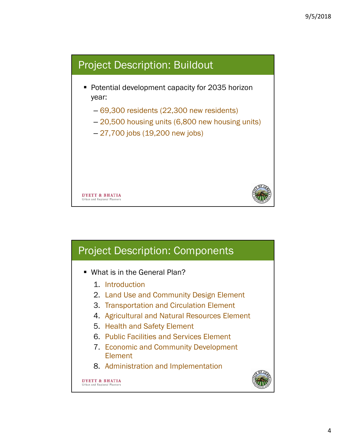

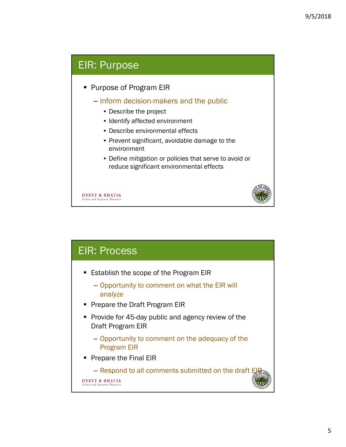### EIR: Purpose

- **Purpose of Program EIR** 
	- Inform decision-makers and the public
		- Describe the project
		- Identify affected environment
		- Describe environmental effects
		- Prevent significant, avoidable damage to the environment
		- Define mitigation or policies that serve to avoid or reduce significant environmental effects

**DYETT & BHATIA** Urban and Regional Planne



#### EIR: Process ■ Establish the scope of the Program EIR – Opportunity to comment on what the EIR will analyze **Prepare the Draft Program EIR Provide for 45-day public and agency review of the** Draft Program EIR – Opportunity to comment on the adequacy of the Program EIR **Prepare the Final EIR** – Respond to all comments submitted on the draft E **DYETT & BHATIA** rban and Regional Plant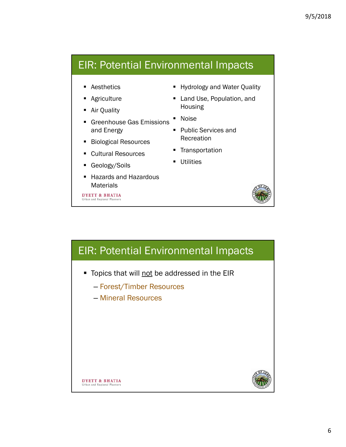#### EIR: Potential Environmental Impacts

- Aesthetics
- **Agriculture**
- **Air Quality**
- **Greenhouse Gas Emissions** and Energy
- **Biological Resources**
- Cultural Resources
- Geology/Soils
- Hazards and Hazardous **Materials**

**DYETT & BHATIA** Urban and Regional Planner

- **Hydrology and Water Quality**
- **Land Use, Population, and** Housing
- **Noise**
- Public Services and Recreation
- **Transportation**
- **Utilities**



# EIR: Potential Environmental Impacts

- Topics that will not be addressed in the EIR
	- Forest/Timber Resources
	- Mineral Resources



**DYETT & BHATIA** Urban and Regional Planners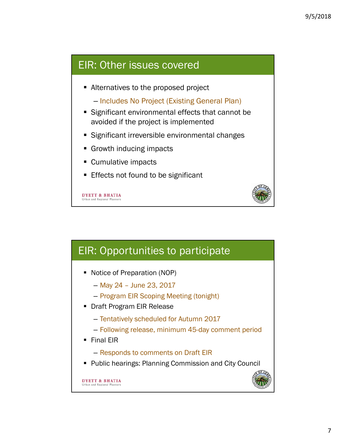#### EIR: Other issues covered

■ Alternatives to the proposed project

– Includes No Project (Existing General Plan)

- Significant environmental effects that cannot be avoided if the project is implemented
- **Significant irreversible environmental changes**
- Growth inducing impacts
- **Cumulative impacts**
- **Effects not found to be significant**

**DYETT & BHATIA** Urban and Regional Planne



## EIR: Opportunities to participate

- Notice of Preparation (NOP)
	- May 24 June 23, 2017
	- Program EIR Scoping Meeting (tonight)
- **Draft Program EIR Release** 
	- Tentatively scheduled for Autumn 2017
	- Following release, minimum 45-day comment period
- **Final EIR** 
	- Responds to comments on Draft EIR
- **Public hearings: Planning Commission and City Council**

**DYETT & BHATIA** ban and Regional Planne

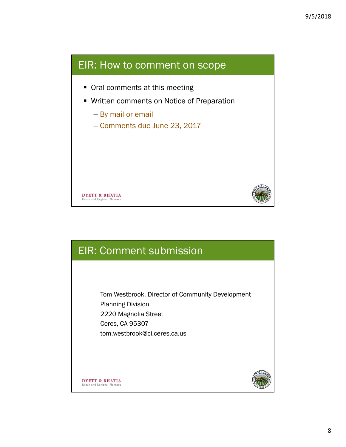